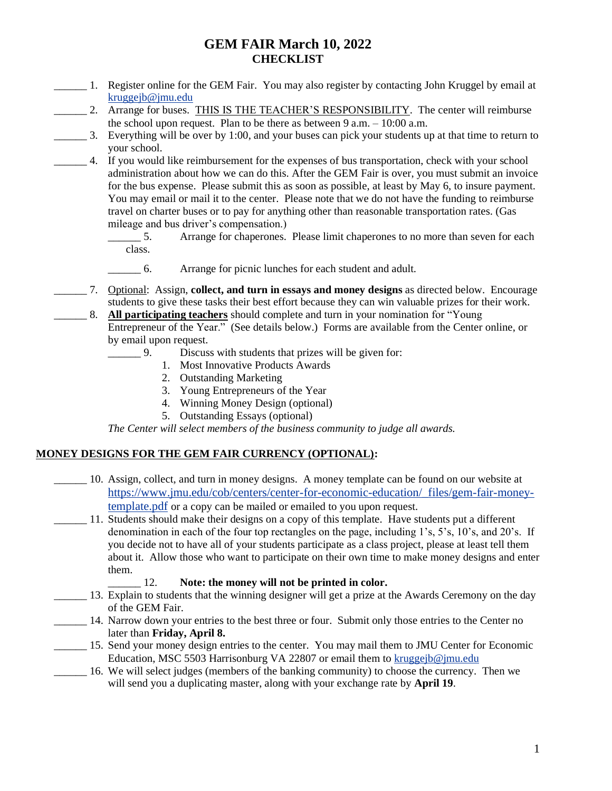## **GEM FAIR March 10, 2022 CHECKLIST**

- \_\_\_\_\_\_ 1. Register online for the GEM Fair. You may also register by contacting John Kruggel by email at [kruggejb@jmu.edu](mailto:kruggejb@jmu.edu)
- 2. Arrange for buses. THIS IS THE TEACHER'S RESPONSIBILITY. The center will reimburse the school upon request. Plan to be there as between  $9 a.m. - 10:00 a.m.$
- \_\_\_\_\_\_ 3. Everything will be over by 1:00, and your buses can pick your students up at that time to return to your school.
- \_\_\_\_\_\_ 4. If you would like reimbursement for the expenses of bus transportation, check with your school administration about how we can do this. After the GEM Fair is over, you must submit an invoice for the bus expense. Please submit this as soon as possible, at least by May 6, to insure payment. You may email or mail it to the center. Please note that we do not have the funding to reimburse travel on charter buses or to pay for anything other than reasonable transportation rates. (Gas mileage and bus driver's compensation.)
	- 5. Arrange for chaperones. Please limit chaperones to no more than seven for each class.
	- \_\_\_\_\_\_ 6. Arrange for picnic lunches for each student and adult.
- \_\_\_\_\_\_ 7. Optional: Assign, **collect, and turn in essays and money designs** as directed below. Encourage students to give these tasks their best effort because they can win valuable prizes for their work.
	- \_\_\_\_\_\_ 8. **All participating teachers** should complete and turn in your nomination for "Young Entrepreneur of the Year." (See details below.) Forms are available from the Center online, or by email upon request.
		- $\frac{1}{2}$  9. Discuss with students that prizes will be given for:
			- 1. Most Innovative Products Awards
			- 2. Outstanding Marketing
			- 3. Young Entrepreneurs of the Year
			- 4. Winning Money Design (optional)
			- 5. Outstanding Essays (optional)

*The Center will select members of the business community to judge all awards.*

### **MONEY DESIGNS FOR THE GEM FAIR CURRENCY (OPTIONAL):**

\_\_\_\_\_\_ 10. Assign, collect, and turn in money designs. A money template can be found on our website at [https://www.jmu.edu/cob/centers/center-for-economic-education/\\_files/gem-fair-money](https://www.jmu.edu/cob/centers/center-for-economic-education/_files/gem-fair-money-template.pdf)[template.pdf](https://www.jmu.edu/cob/centers/center-for-economic-education/_files/gem-fair-money-template.pdf) or a copy can be mailed or emailed to you upon request.

11. Students should make their designs on a copy of this template. Have students put a different denomination in each of the four top rectangles on the page, including 1's, 5's, 10's, and 20's. If you decide not to have all of your students participate as a class project, please at least tell them about it. Allow those who want to participate on their own time to make money designs and enter them.

- \_\_\_\_\_\_ 12. **Note: the money will not be printed in color.**
- \_\_\_\_\_\_ 13. Explain to students that the winning designer will get a prize at the Awards Ceremony on the day of the GEM Fair.
- \_\_\_\_\_\_ 14. Narrow down your entries to the best three or four. Submit only those entries to the Center no later than **Friday, April 8.**
- \_\_\_\_\_\_ 15. Send your money design entries to the center. You may mail them to JMU Center for Economic Education, MSC 5503 Harrisonburg VA 22807 or email them to [kruggejb@jmu.edu](mailto:kruggejb@jmu.edu)
	- \_\_\_\_\_\_ 16. We will select judges (members of the banking community) to choose the currency. Then we will send you a duplicating master, along with your exchange rate by **April 19**.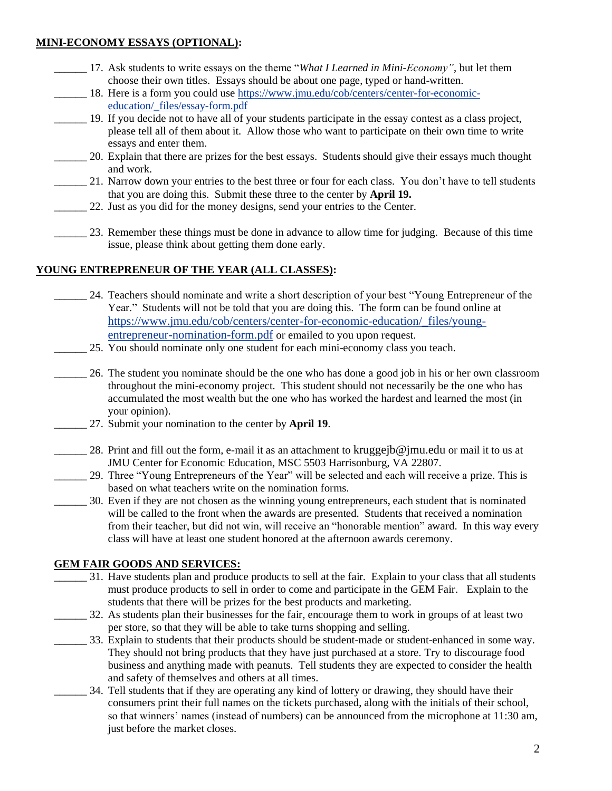## **MINI-ECONOMY ESSAYS (OPTIONAL):**

- \_\_\_\_\_\_ 17. Ask students to write essays on the theme "*What I Learned in Mini-Economy"*, but let them choose their own titles. Essays should be about one page, typed or hand-written.
- \_\_\_\_\_\_ 18. Here is a form you could use [https://www.jmu.edu/cob/centers/center-for-economic](https://www.jmu.edu/cob/centers/center-for-economic-education/_files/essay-form.pdf)[education/\\_files/essay-form.pdf](https://www.jmu.edu/cob/centers/center-for-economic-education/_files/essay-form.pdf)
- \_\_\_\_\_\_ 19. If you decide not to have all of your students participate in the essay contest as a class project, please tell all of them about it. Allow those who want to participate on their own time to write essays and enter them.
- \_\_\_\_\_\_ 20. Explain that there are prizes for the best essays. Students should give their essays much thought and work.
- \_\_\_\_\_\_ 21. Narrow down your entries to the best three or four for each class. You don't have to tell students that you are doing this. Submit these three to the center by **April 19.**
	- 22. Just as you did for the money designs, send your entries to the Center.
	- \_\_\_\_\_\_ 23. Remember these things must be done in advance to allow time for judging. Because of this time issue, please think about getting them done early.

### **YOUNG ENTREPRENEUR OF THE YEAR (ALL CLASSES):**

- \_\_\_\_\_\_ 24. Teachers should nominate and write a short description of your best "Young Entrepreneur of the Year." Students will not be told that you are doing this. The form can be found online at [https://www.jmu.edu/cob/centers/center-for-economic-education/\\_files/young](https://www.jmu.edu/cob/centers/center-for-economic-education/_files/young-entrepreneur-nomination-form.pdf)[entrepreneur-nomination-form.pdf](https://www.jmu.edu/cob/centers/center-for-economic-education/_files/young-entrepreneur-nomination-form.pdf) or emailed to you upon request.
- 25. You should nominate only one student for each mini-economy class you teach.
	- \_\_\_\_\_\_ 26. The student you nominate should be the one who has done a good job in his or her own classroom throughout the mini-economy project. This student should not necessarily be the one who has accumulated the most wealth but the one who has worked the hardest and learned the most (in your opinion).
- \_\_\_\_\_\_ 27. Submit your nomination to the center by **April 19**.
	- 28. Print and fill out the form, e-mail it as an attachment to [kruggejb@jmu.edu](mailto:kruggejb@jmu.edu) or mail it to us at JMU Center for Economic Education, MSC 5503 Harrisonburg, VA 22807.
	- \_\_\_\_\_\_ 29. Three "Young Entrepreneurs of the Year" will be selected and each will receive a prize. This is based on what teachers write on the nomination forms.
	- \_\_\_\_\_\_ 30. Even if they are not chosen as the winning young entrepreneurs, each student that is nominated will be called to the front when the awards are presented. Students that received a nomination from their teacher, but did not win, will receive an "honorable mention" award. In this way every class will have at least one student honored at the afternoon awards ceremony.

### **GEM FAIR GOODS AND SERVICES:**

- 31. Have students plan and produce products to sell at the fair. Explain to your class that all students must produce products to sell in order to come and participate in the GEM Fair. Explain to the students that there will be prizes for the best products and marketing.
- \_\_\_\_\_\_ 32. As students plan their businesses for the fair, encourage them to work in groups of at least two per store, so that they will be able to take turns shopping and selling.
- \_\_\_\_\_\_ 33. Explain to students that their products should be student-made or student-enhanced in some way. They should not bring products that they have just purchased at a store. Try to discourage food business and anything made with peanuts. Tell students they are expected to consider the health and safety of themselves and others at all times.
- 34. Tell students that if they are operating any kind of lottery or drawing, they should have their consumers print their full names on the tickets purchased, along with the initials of their school, so that winners' names (instead of numbers) can be announced from the microphone at 11:30 am, just before the market closes.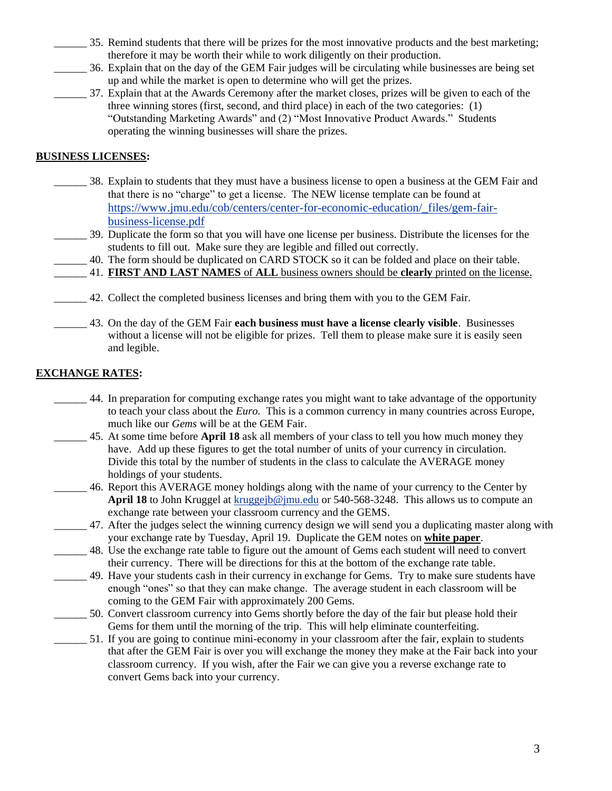- \_\_\_\_\_\_ 35. Remind students that there will be prizes for the most innovative products and the best marketing; therefore it may be worth their while to work diligently on their production.
- \_\_\_\_\_\_ 36. Explain that on the day of the GEM Fair judges will be circulating while businesses are being set up and while the market is open to determine who will get the prizes.
- \_\_\_\_\_\_ 37. Explain that at the Awards Ceremony after the market closes, prizes will be given to each of the three winning stores (first, second, and third place) in each of the two categories: (1) "Outstanding Marketing Awards" and (2) "Most Innovative Product Awards." Students operating the winning businesses will share the prizes.

## **BUSINESS LICENSES:**

- \_\_\_\_\_\_ 38. Explain to students that they must have a business license to open a business at the GEM Fair and that there is no "charge" to get a license. The NEW license template can be found at [https://www.jmu.edu/cob/centers/center-for-economic-education/\\_files/gem-fair](https://www.jmu.edu/cob/centers/center-for-economic-education/_files/gem-fair-business-license.pdf)[business-license.pdf](https://www.jmu.edu/cob/centers/center-for-economic-education/_files/gem-fair-business-license.pdf)
- \_\_\_\_\_\_ 39. Duplicate the form so that you will have one license per business. Distribute the licenses for the students to fill out. Make sure they are legible and filled out correctly.
- \_\_\_\_\_\_ 40. The form should be duplicated on CARD STOCK so it can be folded and place on their table.
- \_\_\_\_\_\_ 41. **FIRST AND LAST NAMES** of **ALL** business owners should be **clearly** printed on the license.
- \_\_\_\_\_\_ 42. Collect the completed business licenses and bring them with you to the GEM Fair.
	- \_\_\_\_\_\_ 43. On the day of the GEM Fair **each business must have a license clearly visible**. Businesses without a license will not be eligible for prizes. Tell them to please make sure it is easily seen and legible.

## **EXCHANGE RATES:**

- \_\_\_\_\_\_ 44. In preparation for computing exchange rates you might want to take advantage of the opportunity to teach your class about the *Euro.* This is a common currency in many countries across Europe, much like our *Gems* will be at the GEM Fair.
- \_\_\_\_\_\_ 45. At some time before **April 18** ask all members of your class to tell you how much money they have. Add up these figures to get the total number of units of your currency in circulation. Divide this total by the number of students in the class to calculate the AVERAGE money holdings of your students.
- \_\_\_\_\_\_ 46. Report this AVERAGE money holdings along with the name of your currency to the Center by **April 18** to John Kruggel at [kruggejb@jmu.edu](mailto:kruggejb@jmu.edu) or 540-568-3248. This allows us to compute an exchange rate between your classroom currency and the GEMS.
- \_\_\_\_\_\_ 47. After the judges select the winning currency design we will send you a duplicating master along with your exchange rate by Tuesday, April 19. Duplicate the GEM notes on **white paper**.
- \_\_\_\_\_\_ 48. Use the exchange rate table to figure out the amount of Gems each student will need to convert their currency. There will be directions for this at the bottom of the exchange rate table.
- \_\_\_\_\_\_ 49. Have your students cash in their currency in exchange for Gems. Try to make sure students have enough "ones" so that they can make change. The average student in each classroom will be coming to the GEM Fair with approximately 200 Gems.
	- \_\_\_\_\_\_ 50. Convert classroom currency into Gems shortly before the day of the fair but please hold their Gems for them until the morning of the trip. This will help eliminate counterfeiting.
	- \_\_\_\_\_\_ 51. If you are going to continue mini-economy in your classroom after the fair, explain to students that after the GEM Fair is over you will exchange the money they make at the Fair back into your classroom currency. If you wish, after the Fair we can give you a reverse exchange rate to convert Gems back into your currency.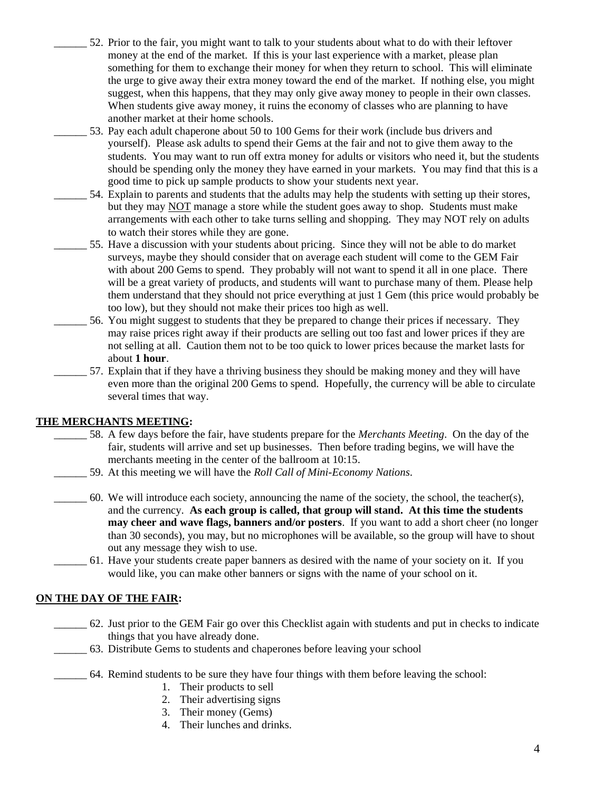- 52. Prior to the fair, you might want to talk to your students about what to do with their leftover money at the end of the market. If this is your last experience with a market, please plan something for them to exchange their money for when they return to school. This will eliminate the urge to give away their extra money toward the end of the market. If nothing else, you might suggest, when this happens, that they may only give away money to people in their own classes. When students give away money, it ruins the economy of classes who are planning to have another market at their home schools.
- 53. Pay each adult chaperone about 50 to 100 Gems for their work (include bus drivers and yourself). Please ask adults to spend their Gems at the fair and not to give them away to the students. You may want to run off extra money for adults or visitors who need it, but the students should be spending only the money they have earned in your markets. You may find that this is a good time to pick up sample products to show your students next year.
	- 54. Explain to parents and students that the adults may help the students with setting up their stores, but they may NOT manage a store while the student goes away to shop. Students must make arrangements with each other to take turns selling and shopping. They may NOT rely on adults to watch their stores while they are gone.
- \_\_\_\_\_\_ 55. Have a discussion with your students about pricing. Since they will not be able to do market surveys, maybe they should consider that on average each student will come to the GEM Fair with about 200 Gems to spend. They probably will not want to spend it all in one place. There will be a great variety of products, and students will want to purchase many of them. Please help them understand that they should not price everything at just 1 Gem (this price would probably be too low), but they should not make their prices too high as well.
- \_\_\_\_\_\_ 56. You might suggest to students that they be prepared to change their prices if necessary. They may raise prices right away if their products are selling out too fast and lower prices if they are not selling at all. Caution them not to be too quick to lower prices because the market lasts for about **1 hour**.
- \_\_\_\_\_\_ 57. Explain that if they have a thriving business they should be making money and they will have even more than the original 200 Gems to spend. Hopefully, the currency will be able to circulate several times that way.

### **THE MERCHANTS MEETING:**

- \_\_\_\_\_\_ 58. A few days before the fair, have students prepare for the *Merchants Meeting*. On the day of the fair, students will arrive and set up businesses. Then before trading begins, we will have the merchants meeting in the center of the ballroom at 10:15.
- \_\_\_\_\_\_ 59. At this meeting we will have the *Roll Call of Mini-Economy Nations*.
- \_\_\_\_\_\_ 60. We will introduce each society, announcing the name of the society, the school, the teacher(s), and the currency. **As each group is called, that group will stand. At this time the students may cheer and wave flags, banners and/or posters**. If you want to add a short cheer (no longer than 30 seconds), you may, but no microphones will be available, so the group will have to shout out any message they wish to use.
- \_\_\_\_\_\_ 61. Have your students create paper banners as desired with the name of your society on it. If you would like, you can make other banners or signs with the name of your school on it.

## **ON THE DAY OF THE FAIR:**

- \_\_\_\_\_\_ 62. Just prior to the GEM Fair go over this Checklist again with students and put in checks to indicate things that you have already done.
- \_\_\_\_\_\_ 63. Distribute Gems to students and chaperones before leaving your school
- \_\_\_\_\_\_ 64. Remind students to be sure they have four things with them before leaving the school:
	- 1. Their products to sell
	- 2. Their advertising signs
	- 3. Their money (Gems)
	- 4. Their lunches and drinks.